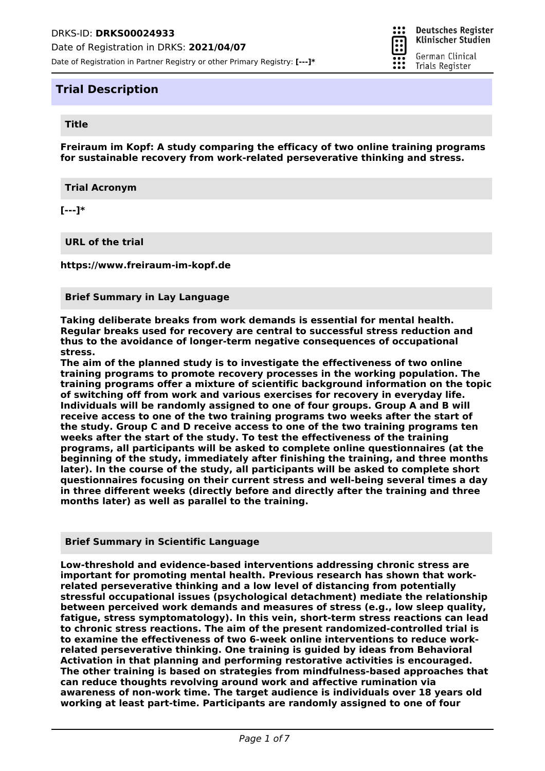

። **Deutsches Register** Klinischer Studien German Clinical

Trials Register

E

## **Trial Description**

### **Title**

**Freiraum im Kopf: A study comparing the efficacy of two online training programs for sustainable recovery from work-related perseverative thinking and stress.**

**Trial Acronym**

**[---]\***

**URL of the trial**

**https://www.freiraum-im-kopf.de**

#### **Brief Summary in Lay Language**

**Taking deliberate breaks from work demands is essential for mental health. Regular breaks used for recovery are central to successful stress reduction and thus to the avoidance of longer-term negative consequences of occupational stress.**

**The aim of the planned study is to investigate the effectiveness of two online training programs to promote recovery processes in the working population. The training programs offer a mixture of scientific background information on the topic of switching off from work and various exercises for recovery in everyday life. Individuals will be randomly assigned to one of four groups. Group A and B will receive access to one of the two training programs two weeks after the start of the study. Group C and D receive access to one of the two training programs ten weeks after the start of the study. To test the effectiveness of the training programs, all participants will be asked to complete online questionnaires (at the beginning of the study, immediately after finishing the training, and three months later). In the course of the study, all participants will be asked to complete short questionnaires focusing on their current stress and well-being several times a day in three different weeks (directly before and directly after the training and three months later) as well as parallel to the training.**

**Brief Summary in Scientific Language**

**Low-threshold and evidence-based interventions addressing chronic stress are important for promoting mental health. Previous research has shown that workrelated perseverative thinking and a low level of distancing from potentially stressful occupational issues (psychological detachment) mediate the relationship between perceived work demands and measures of stress (e.g., low sleep quality, fatigue, stress symptomatology). In this vein, short-term stress reactions can lead to chronic stress reactions. The aim of the present randomized-controlled trial is to examine the effectiveness of two 6-week online interventions to reduce workrelated perseverative thinking. One training is guided by ideas from Behavioral Activation in that planning and performing restorative activities is encouraged. The other training is based on strategies from mindfulness-based approaches that can reduce thoughts revolving around work and affective rumination via awareness of non-work time. The target audience is individuals over 18 years old working at least part-time. Participants are randomly assigned to one of four**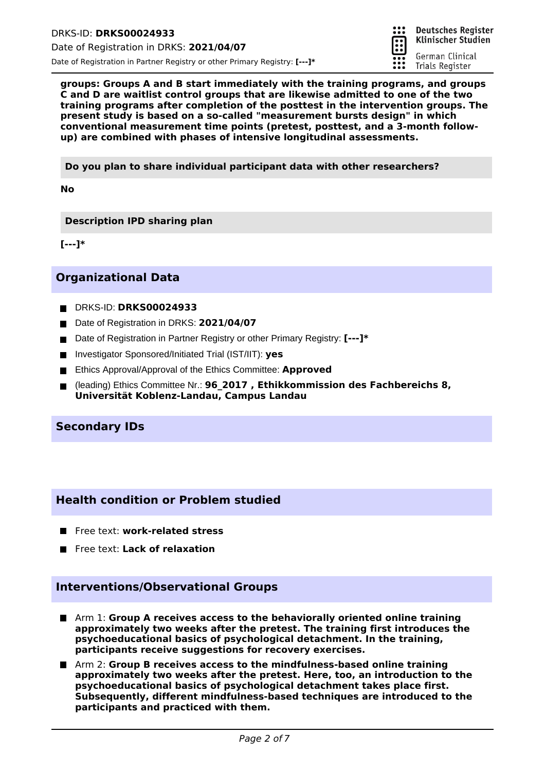

German Clinical

Trials Register

**groups: Groups A and B start immediately with the training programs, and groups C and D are waitlist control groups that are likewise admitted to one of the two training programs after completion of the posttest in the intervention groups. The present study is based on a so-called "measurement bursts design" in which conventional measurement time points (pretest, posttest, and a 3-month followup) are combined with phases of intensive longitudinal assessments.**

**Do you plan to share individual participant data with other researchers?**

**No**

**Description IPD sharing plan**

**[---]\***

# **Organizational Data**

- DRKS-ID: **DRKS00024933**
- Date of Registration in DRKS: 2021/04/07
- Date of Registration in Partner Registry or other Primary Registry: **[---]**<sup>\*</sup>
- Investigator Sponsored/Initiated Trial (IST/IIT): yes
- Ethics Approval/Approval of the Ethics Committee: **Approved**
- (leading) Ethics Committee Nr.: **96\_2017 , Ethikkommission des Fachbereichs 8,**  $\blacksquare$ **Universität Koblenz-Landau, Campus Landau**

## **Secondary IDs**

## **Health condition or Problem studied**

- **Figure 12 Free text: work-related stress**
- **Filleral Free text: Lack of relaxation**

## **Interventions/Observational Groups**

- Arm 1: **Group A receives access to the behaviorally oriented online training approximately two weeks after the pretest. The training first introduces the psychoeducational basics of psychological detachment. In the training, participants receive suggestions for recovery exercises.**
- Arm 2: **Group B receives access to the mindfulness-based online training approximately two weeks after the pretest. Here, too, an introduction to the psychoeducational basics of psychological detachment takes place first. Subsequently, different mindfulness-based techniques are introduced to the participants and practiced with them.**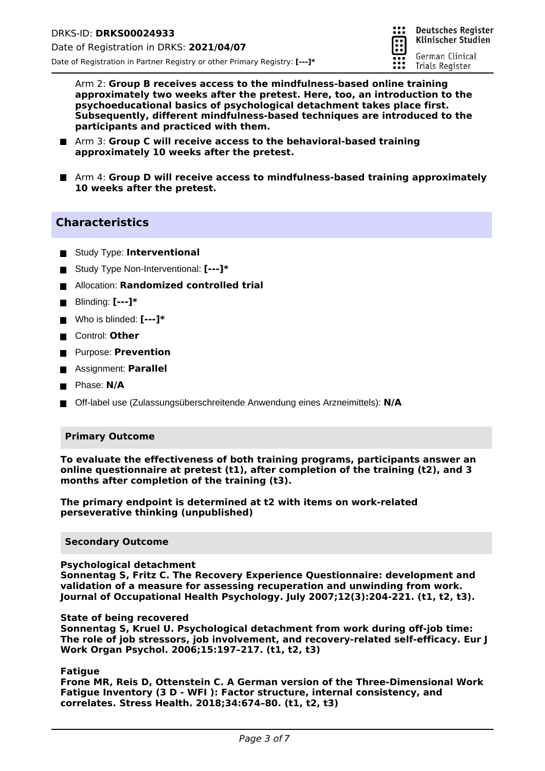

Arm 2: **Group B receives access to the mindfulness-based online training approximately two weeks after the pretest. Here, too, an introduction to the psychoeducational basics of psychological detachment takes place first. Subsequently, different mindfulness-based techniques are introduced to the participants and practiced with them.**

- Arm 3: **Group C will receive access to the behavioral-based training approximately 10 weeks after the pretest.**
- Arm 4: Group **D will receive access to mindfulness-based training approximately 10 weeks after the pretest.**

## **Characteristics**

- $\blacksquare$  Study Type: **Interventional**
- Study Type Non-Interventional: **[---]\***
- Allocation: **Randomized controlled trial**
- Blinding: **[---]\***
- Who is blinded: **[---]\***
- Control: Other
- Purpose: **Prevention**
- Assignment: **Parallel**
- **Phase: N/A**
- Off-label use (Zulassungsüberschreitende Anwendung eines Arzneimittels): **N/A**

#### **Primary Outcome**

**To evaluate the effectiveness of both training programs, participants answer an online questionnaire at pretest (t1), after completion of the training (t2), and 3 months after completion of the training (t3).**

**The primary endpoint is determined at t2 with items on work-related perseverative thinking (unpublished)**

#### **Secondary Outcome**

#### **Psychological detachment**

**Sonnentag S, Fritz C. The Recovery Experience Questionnaire: development and validation of a measure for assessing recuperation and unwinding from work. Journal of Occupational Health Psychology. July 2007;12(3):204-221. (t1, t2, t3).**

#### **State of being recovered**

**Sonnentag S, Kruel U. Psychological detachment from work during off-job time: The role of job stressors, job involvement, and recovery-related self-efficacy. Eur J Work Organ Psychol. 2006;15:197–217. (t1, t2, t3)**

**Fatigue**

**Frone MR, Reis D, Ottenstein C. A German version of the Three‐Dimensional Work Fatigue Inventory (3 D ‐ WFI ): Factor structure, internal consistency, and correlates. Stress Health. 2018;34:674–80. (t1, t2, t3)**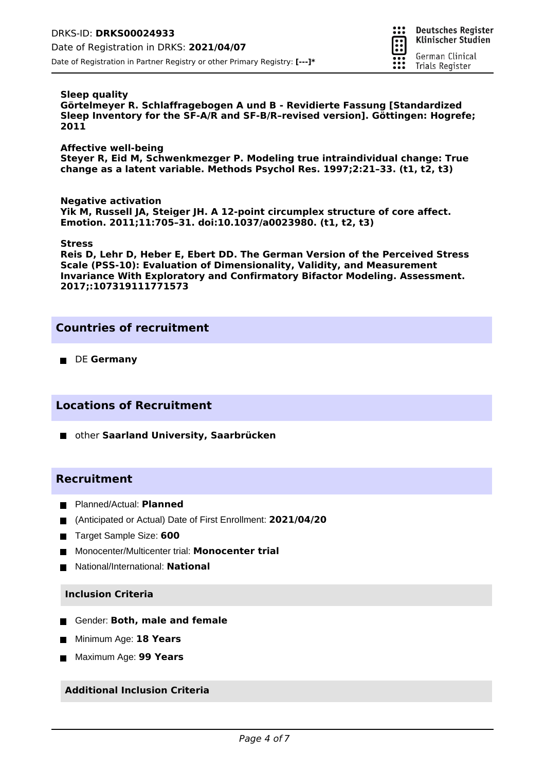

#### **Sleep quality**

**Görtelmeyer R. Schlaffragebogen A und B - Revidierte Fassung [Standardized Sleep Inventory for the SF-A/R and SF-B/R–revised version]. Göttingen: Hogrefe; 2011**

#### **Affective well-being**

**Steyer R, Eid M, Schwenkmezger P. Modeling true intraindividual change: True change as a latent variable. Methods Psychol Res. 1997;2:21–33. (t1, t2, t3)**

**Negative activation Yik M, Russell JA, Steiger JH. A 12-point circumplex structure of core affect. Emotion. 2011;11:705–31. doi:10.1037/a0023980. (t1, t2, t3)**

#### **Stress**

**Reis D, Lehr D, Heber E, Ebert DD. The German Version of the Perceived Stress Scale (PSS-10): Evaluation of Dimensionality, Validity, and Measurement Invariance With Exploratory and Confirmatory Bifactor Modeling. Assessment. 2017;:107319111771573**

## **Countries of recruitment**

**DE Germany** 

## **Locations of Recruitment**

other **Saarland University, Saarbrücken**

## **Recruitment**

- Planned/Actual: **Planned**
- (Anticipated or Actual) Date of First Enrollment: **2021/04/20**
- **Target Sample Size: 600**
- Monocenter/Multicenter trial: **Monocenter trial**
- National/International: **National**

#### **Inclusion Criteria**

- Gender: Both, male and female
- Minimum Age: **18 Years**
- Maximum Age: **99 Years**

### **Additional Inclusion Criteria**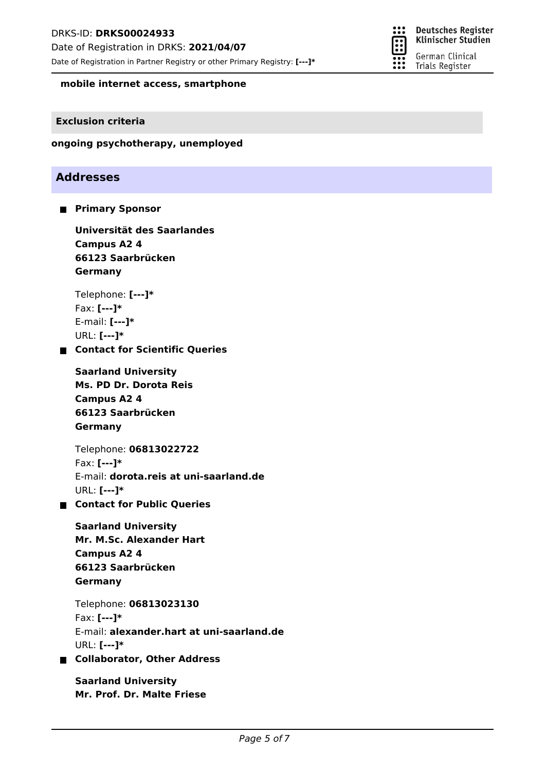Date of Registration in Partner Registry or other Primary Registry: **[---]\***



**mobile internet access, smartphone**

### **Exclusion criteria**

### **ongoing psychotherapy, unemployed**

# **Addresses**

**Primary Sponsor** 

**Universität des Saarlandes Campus A2 4 66123 Saarbrücken Germany**

Telephone: **[---]\*** Fax: **[---]\*** E-mail: **[---]\*** URL: **[---]\***

**Contact for Scientific Queries**

**Ms. PD Dr. Dorota Reis Saarland University Campus A2 4 66123 Saarbrücken Germany**

Telephone: **06813022722** Fax: **[---]\*** E-mail: **dorota.reis at uni-saarland.de** URL: **[---]\***

**Contact for Public Queries**

**Mr. M.Sc. Alexander Hart Saarland University Campus A2 4 66123 Saarbrücken Germany**

Telephone: **06813023130** Fax: **[---]\*** E-mail: **alexander.hart at uni-saarland.de** URL: **[---]\***

**Collaborator, Other Address**

**Mr. Prof. Dr. Malte Friese Saarland University**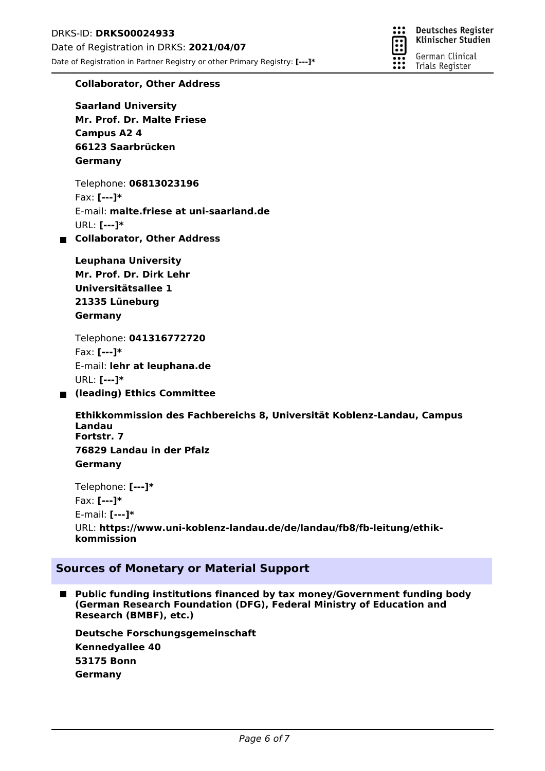

### **Collaborator, Other Address**

**Mr. Prof. Dr. Malte Friese Saarland University Campus A2 4 66123 Saarbrücken Germany**

Telephone: **06813023196** Fax: **[---]\*** E-mail: **malte.friese at uni-saarland.de** URL: **[---]\***

### **Collaborator, Other Address**

**Mr. Prof. Dr. Dirk Lehr Leuphana University Universitätsallee 1 21335 Lüneburg Germany**

Telephone: **041316772720** Fax: **[---]\*** E-mail: **lehr at leuphana.de** URL: **[---]\***

**(leading) Ethics Committee**

**Ethikkommission des Fachbereichs 8, Universität Koblenz-Landau, Campus Landau Fortstr. 7 76829 Landau in der Pfalz Germany**

Telephone: **[---]\*** Fax: **[---]\*** E-mail: **[---]\*** URL: **https://www.uni-koblenz-landau.de/de/landau/fb8/fb-leitung/ethikkommission**

## **Sources of Monetary or Material Support**

 $\blacksquare$ **Public funding institutions financed by tax money/Government funding body (German Research Foundation (DFG), Federal Ministry of Education and Research (BMBF), etc.)**

**Kennedyallee 40 Deutsche Forschungsgemeinschaft 53175 Bonn Germany**